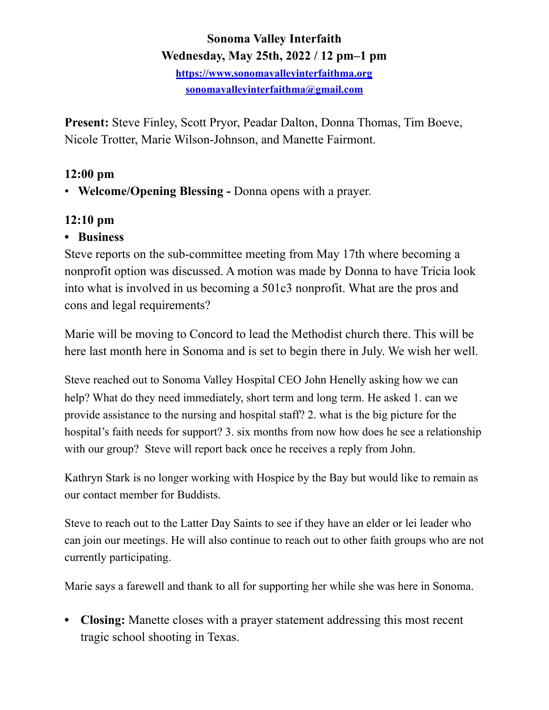# **Sonoma Valley Interfaith Wednesday, May 25th, 2022 / 12 pm–1 pm**

**<https://www.sonomavalleyinterfaithma.org> [sonomavalleyinterfaithma@gmail.com](mailto:sonomavalleyinterfaithma@gmail.com)**

**Present:** Steve Finley, Scott Pryor, Peadar Dalton, Donna Thomas, Tim Boeve, Nicole Trotter, Marie Wilson-Johnson, and Manette Fairmont.

# **12:00 pm**

• **Welcome/Opening Blessing -** Donna opens with a prayer.

# **12:10 pm**

### **• Business**

Steve reports on the sub-committee meeting from May 17th where becoming a nonprofit option was discussed. A motion was made by Donna to have Tricia look into what is involved in us becoming a 501c3 nonprofit. What are the pros and cons and legal requirements?

Marie will be moving to Concord to lead the Methodist church there. This will be here last month here in Sonoma and is set to begin there in July. We wish her well.

Steve reached out to Sonoma Valley Hospital CEO John Henelly asking how we can help? What do they need immediately, short term and long term. He asked 1. can we provide assistance to the nursing and hospital staff? 2. what is the big picture for the hospital's faith needs for support? 3. six months from now how does he see a relationship with our group? Steve will report back once he receives a reply from John.

Kathryn Stark is no longer working with Hospice by the Bay but would like to remain as our contact member for Buddists.

Steve to reach out to the Latter Day Saints to see if they have an elder or lei leader who can join our meetings. He will also continue to reach out to other faith groups who are not currently participating.

Marie says a farewell and thank to all for supporting her while she was here in Sonoma.

**• Closing:** Manette closes with a prayer statement addressing this most recent tragic school shooting in Texas.